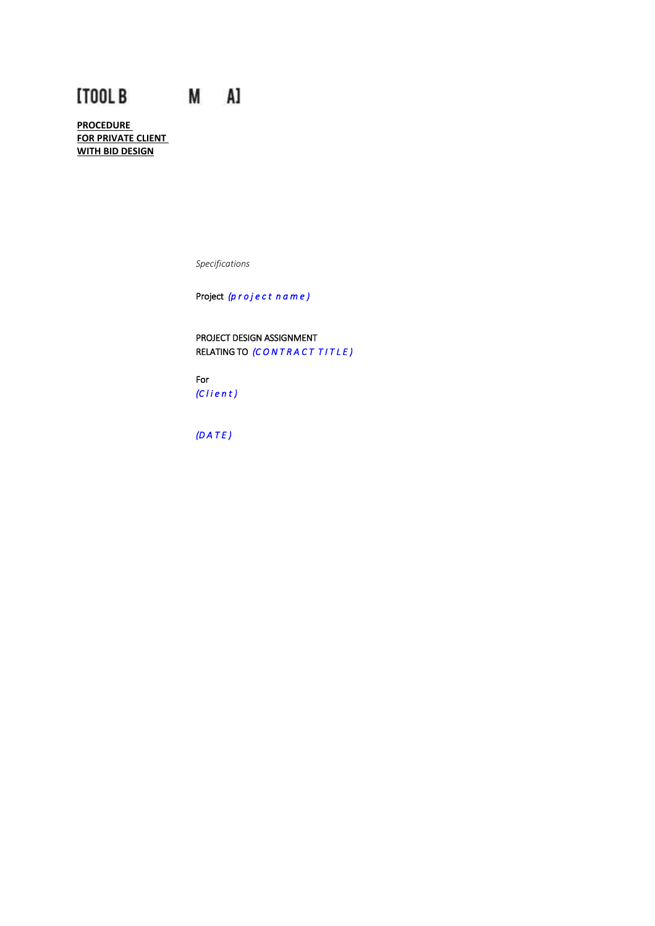# [TOOL B M A]

**PROCEDURE FOR PRIVATE CLIENT WITH BID DESIGN**

*Specifications*

Project *(p r o j e c t n a m e )*

PROJECT DESIGN ASSIGNMENT RELATING TO *(C O N T R A C T T I T L E )*

For *(C l i e n t )* 

*(D A T E )*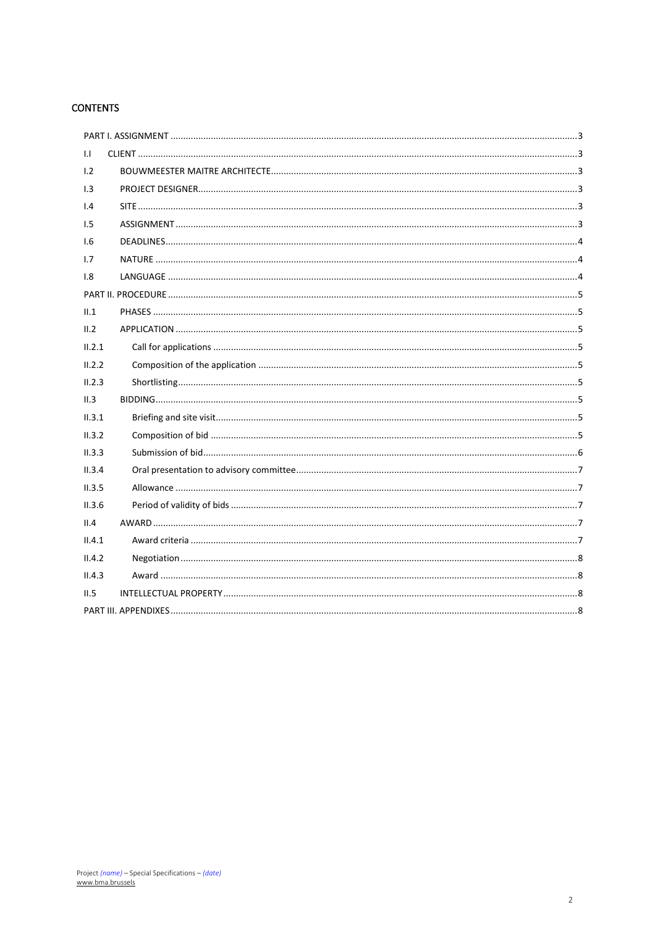# **CONTENTS**

| $\mathbf{L}$ |
|--------------|
| 1.2          |
| 1.3          |
| 1.4          |
| 1.5          |
| 1.6          |
| 1.7          |
| 1.8          |
|              |
| II.1         |
| II.2         |
| II.2.1       |
| II.2.2       |
| II.2.3       |
| II.3         |
| II.3.1       |
| II.3.2       |
| II.3.3       |
| II.3.4       |
| II.3.5       |
| II.3.6       |
| II.4         |
| II.4.1       |
| II.4.2       |
| II.4.3       |
| II.5         |
|              |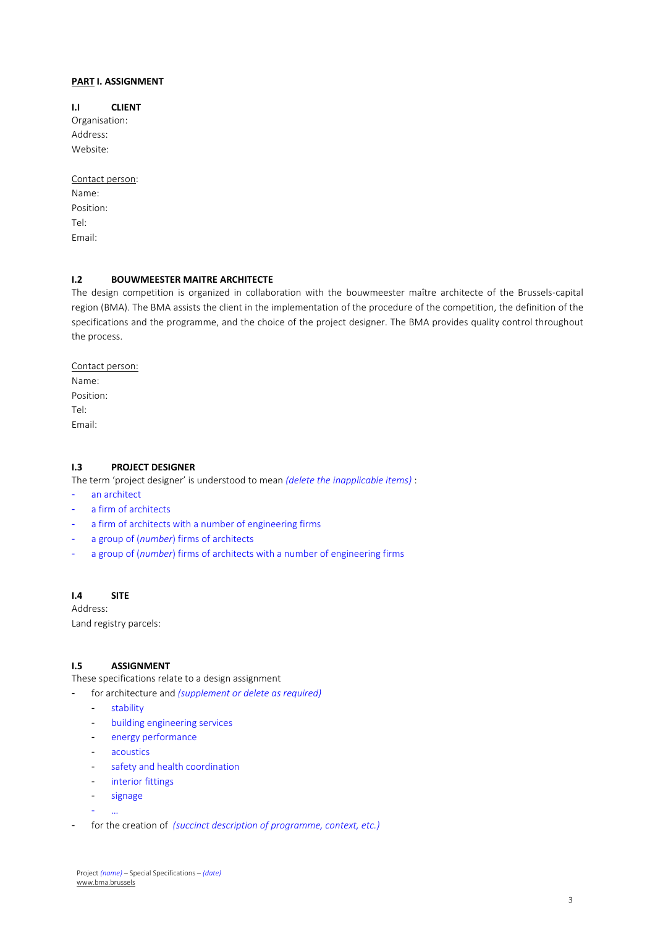# <span id="page-2-0"></span>**PART I. ASSIGNMENT**

#### <span id="page-2-1"></span>**I.I CLIENT**

Organisation: Address: Website:

Contact person: Name: Position: Tel: Email:

#### <span id="page-2-2"></span>**I.2 BOUWMEESTER MAITRE ARCHITECTE**

The design competition is organized in collaboration with the bouwmeester maître architecte of the Brussels-capital region (BMA). The BMA assists the client in the implementation of the procedure of the competition, the definition of the specifications and the programme, and the choice of the project designer. The BMA provides quality control throughout the process.

Contact person: Name: Position: Tel: Email:

#### <span id="page-2-3"></span>**I.3 PROJECT DESIGNER**

The term 'project designer' is understood to mean *(delete the inapplicable items)* :

an architect

- a firm of architects
- a firm of architects with a number of engineering firms
- a group of (*number*) firms of architects
- a group of (*number*) firms of architects with a number of engineering firms

# <span id="page-2-4"></span>**I.4 SITE**

Address: Land registry parcels:

#### <span id="page-2-5"></span>**I.5 ASSIGNMENT**

These specifications relate to a design assignment

- for architecture and *(supplement or delete as required)*
	- stability
	- building engineering services
	- energy performance
	- acoustics
	- safety and health coordination
	- interior fittings
	- signage

- …

for the creation of *(succinct description of programme, context, etc.)*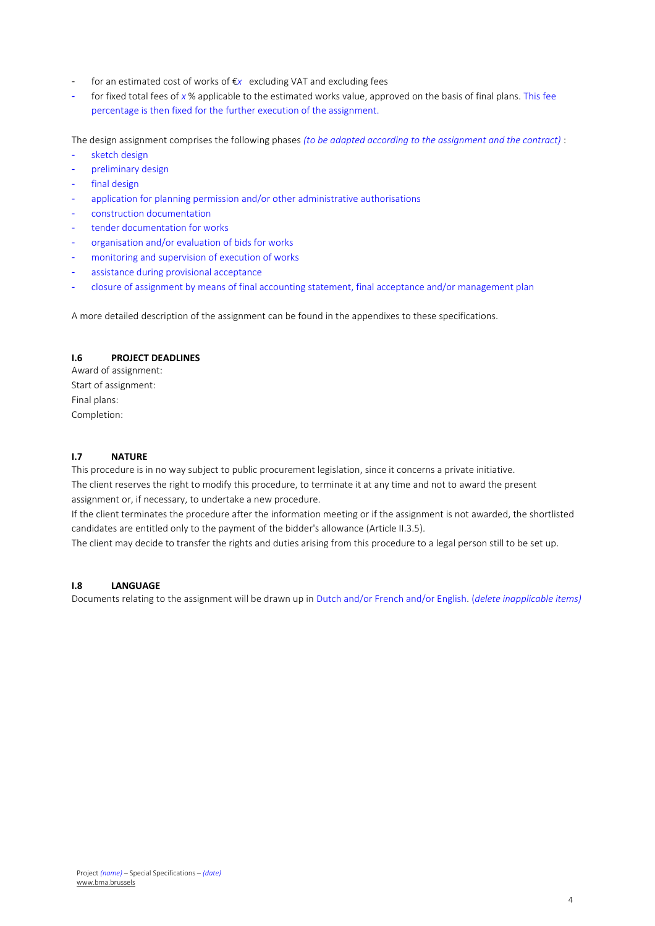- for an estimated cost of works of €*x* excluding VAT and excluding fees
- for fixed total fees of x % applicable to the estimated works value, approved on the basis of final plans. This fee percentage is then fixed for the further execution of the assignment.

The design assignment comprises the following phases *(to be adapted according to the assignment and the contract)* :

- sketch design
- preliminary design
- final design
- application for planning permission and/or other administrative authorisations
- construction documentation
- tender documentation for works
- organisation and/or evaluation of bids for works
- monitoring and supervision of execution of works
- assistance during provisional acceptance
- closure of assignment by means of final accounting statement, final acceptance and/or management plan

A more detailed description of the assignment can be found in the appendixes to these specifications.

# <span id="page-3-0"></span>**I.6 PROJECT DEADLINES**

Award of assignment: Start of assignment: Final plans: Completion:

# <span id="page-3-1"></span>**I.7 NATURE**

This procedure is in no way subject to public procurement legislation, since it concerns a private initiative. The client reserves the right to modify this procedure, to terminate it at any time and not to award the present assignment or, if necessary, to undertake a new procedure.

If the client terminates the procedure after the information meeting or if the assignment is not awarded, the shortlisted candidates are entitled only to the payment of the bidder's allowance (Article II.3.5).

The client may decide to transfer the rights and duties arising from this procedure to a legal person still to be set up.

#### <span id="page-3-2"></span>**I.8 LANGUAGE**

Documents relating to the assignment will be drawn up in Dutch and/or French and/or English. (*delete inapplicable items)*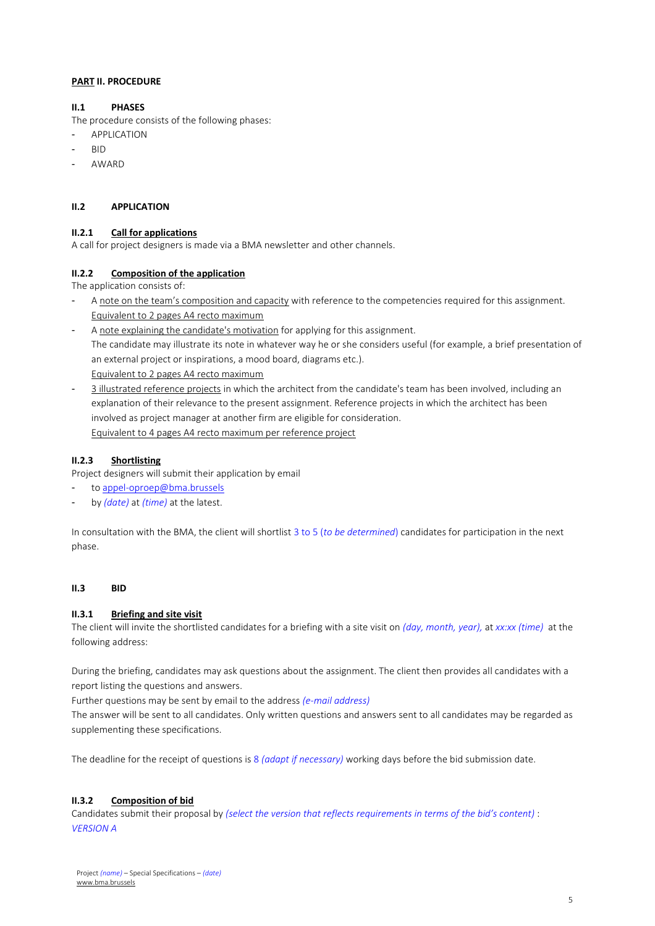## <span id="page-4-0"></span>**PART II. PROCEDURE**

# <span id="page-4-1"></span>**II.1 PHASES**

The procedure consists of the following phases:

- **APPLICATION**
- BID
- **AWARD**

#### <span id="page-4-2"></span>**II.2 APPLICATION**

# <span id="page-4-3"></span>**II.2.1 Call for applications**

A call for project designers is made via a BMA newsletter and other channels.

# <span id="page-4-4"></span>**II.2.2 Composition of the application**

The application consists of:

- A note on the team's composition and capacity with reference to the competencies required for this assignment. Equivalent to 2 pages A4 recto maximum
- A note explaining the candidate's motivation for applying for this assignment. The candidate may illustrate its note in whatever way he or she considers useful (for example, a brief presentation of an external project or inspirations, a mood board, diagrams etc.). Equivalent to 2 pages A4 recto maximum
- 3 illustrated reference projects in which the architect from the candidate's team has been involved, including an explanation of their relevance to the present assignment. Reference projects in which the architect has been involved as project manager at another firm are eligible for consideration. Equivalent to 4 pages A4 recto maximum per reference project

## <span id="page-4-5"></span>**II.2.3 Shortlisting**

Project designers will submit their application by email

- t[o appel-oproep@bma.brussels](mailto:appel-oproep@bma.brussels)
- by *(date)* at *(time)* at the latest.

In consultation with the BMA, the client will shortlist 3 to 5 (*to be determined*) candidates for participation in the next phase.

#### <span id="page-4-7"></span><span id="page-4-6"></span>**II.3 BID**

#### **II.3.1 Briefing and site visit**

The client will invite the shortlisted candidates for a briefing with a site visit on *(day, month, year),* at *xx:xx (time)* at the following address:

During the briefing, candidates may ask questions about the assignment. The client then provides all candidates with a report listing the questions and answers.

Further questions may be sent by email to the address *(e-mail address)*

The answer will be sent to all candidates. Only written questions and answers sent to all candidates may be regarded as supplementing these specifications.

The deadline for the receipt of questions is 8 *(adapt if necessary)* working days before the bid submission date.

#### <span id="page-4-8"></span>**II.3.2 Composition of bid**

Candidates submit their proposal by *(select the version that reflects requirements in terms of the bid's content)* : *VERSION A*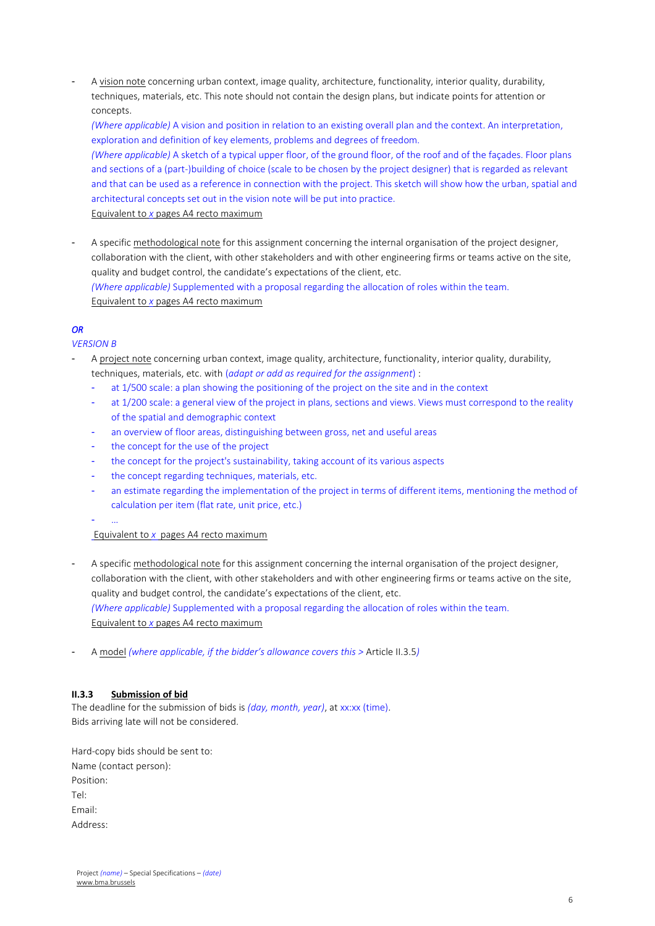- A vision note concerning urban context, image quality, architecture, functionality, interior quality, durability, techniques, materials, etc. This note should not contain the design plans, but indicate points for attention or concepts.

*(Where applicable)* A vision and position in relation to an existing overall plan and the context. An interpretation, exploration and definition of key elements, problems and degrees of freedom. *(Where applicable)* A sketch of a typical upper floor, of the ground floor, of the roof and of the façades. Floor plans and sections of a (part-)building of choice (scale to be chosen by the project designer) that is regarded as relevant and that can be used as a reference in connection with the project. This sketch will show how the urban, spatial and architectural concepts set out in the vision note will be put into practice. Equivalent to *x* pages A4 recto maximum

A specific methodological note for this assignment concerning the internal organisation of the project designer, collaboration with the client, with other stakeholders and with other engineering firms or teams active on the site, quality and budget control, the candidate's expectations of the client, etc. *(Where applicable)* Supplemented with a proposal regarding the allocation of roles within the team. Equivalent to *x* pages A4 recto maximum

# *OR*

*VERSION B*

- A project note concerning urban context, image quality, architecture, functionality, interior quality, durability, techniques, materials, etc. with (*adapt or add as required for the assignment*) :
	- at 1/500 scale: a plan showing the positioning of the project on the site and in the context
	- at 1/200 scale: a general view of the project in plans, sections and views. Views must correspond to the reality of the spatial and demographic context
	- an overview of floor areas, distinguishing between gross, net and useful areas
	- the concept for the use of the project
	- the concept for the project's sustainability, taking account of its various aspects
	- the concept regarding techniques, materials, etc.
	- an estimate regarding the implementation of the project in terms of different items, mentioning the method of calculation per item (flat rate, unit price, etc.)
	- …

Equivalent to *x* pages A4 recto maximum

- A specific methodological note for this assignment concerning the internal organisation of the project designer, collaboration with the client, with other stakeholders and with other engineering firms or teams active on the site, quality and budget control, the candidate's expectations of the client, etc. *(Where applicable)* Supplemented with a proposal regarding the allocation of roles within the team. Equivalent to *x* pages A4 recto maximum
- A model *(where applicable, if the bidder's allowance covers this >* Article II.3.5*)*

#### <span id="page-5-0"></span>**II.3.3 Submission of bid**

The deadline for the submission of bids is *(day, month, year)*, at xx:xx (time). Bids arriving late will not be considered.

Hard-copy bids should be sent to: Name (contact person): Position: Tel: Email: Address: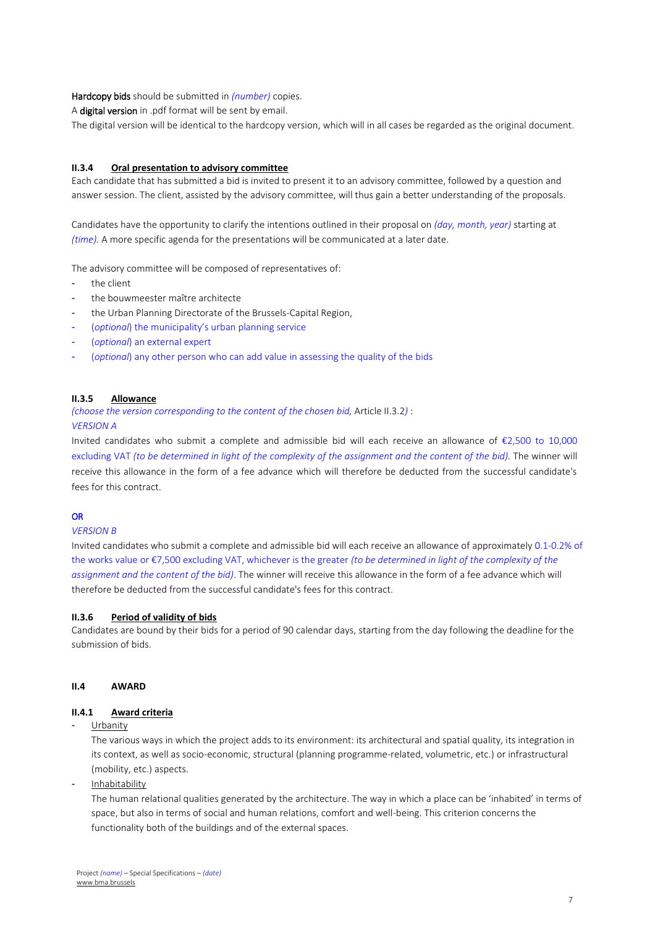## Hardcopy bids should be submitted in *(number)* copies.

A digital version in .pdf format will be sent by email.

The digital version will be identical to the hardcopy version, which will in all cases be regarded as the original document.

#### <span id="page-6-0"></span>**II.3.4 Oral presentation to advisory committee**

Each candidate that has submitted a bid is invited to present it to an advisory committee, followed by a question and answer session. The client, assisted by the advisory committee, will thus gain a better understanding of the proposals.

Candidates have the opportunity to clarify the intentions outlined in their proposal on *(day, month, year)* starting at *(time).* A more specific agenda for the presentations will be communicated at a later date.

The advisory committee will be composed of representatives of:

- the client
- the bouwmeester maître architecte
- the Urban Planning Directorate of the Brussels-Capital Region,
- (*optional*) the municipality's urban planning service
- (*optional*) an external expert
- (*optional*) any other person who can add value in assessing the quality of the bids

#### <span id="page-6-1"></span>**II.3.5 Allowance**

*(choose the version corresponding to the content of the chosen bid,* Article II.3.2*)* :

*VERSION A*

Invited candidates who submit a complete and admissible bid will each receive an allowance of €2,500 to 10,000 excluding VAT *(to be determined in light of the complexity of the assignment and the content of the bid)*. The winner will receive this allowance in the form of a fee advance which will therefore be deducted from the successful candidate's fees for this contract.

#### **OR**

#### *VERSION B*

Invited candidates who submit a complete and admissible bid will each receive an allowance of approximately 0.1-0.2% of the works value or €7,500 excluding VAT, whichever is the greater *(to be determined in light of the complexity of the assignment and the content of the bid)*. The winner will receive this allowance in the form of a fee advance which will therefore be deducted from the successful candidate's fees for this contract.

#### <span id="page-6-2"></span>**II.3.6 Period of validity of bids**

Candidates are bound by their bids for a period of 90 calendar days, starting from the day following the deadline for the submission of bids.

#### <span id="page-6-4"></span><span id="page-6-3"></span>**II.4 AWARD**

#### **II.4.1 Award criteria**

**Urbanity** 

The various ways in which the project adds to its environment: its architectural and spatial quality, its integration in its context, as well as socio-economic, structural (planning programme-related, volumetric, etc.) or infrastructural (mobility, etc.) aspects.

- Inhabitability

The human relational qualities generated by the architecture. The way in which a place can be 'inhabited' in terms of space, but also in terms of social and human relations, comfort and well-being. This criterion concerns the functionality both of the buildings and of the external spaces.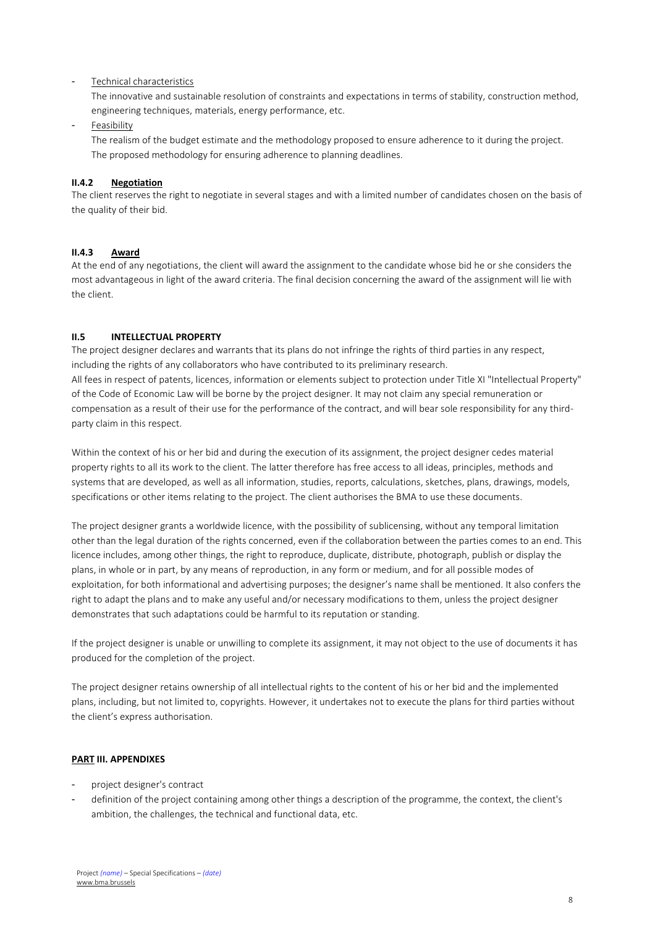#### Technical characteristics

The innovative and sustainable resolution of constraints and expectations in terms of stability, construction method, engineering techniques, materials, energy performance, etc.

**Feasibility** 

The realism of the budget estimate and the methodology proposed to ensure adherence to it during the project. The proposed methodology for ensuring adherence to planning deadlines.

#### <span id="page-7-0"></span>**II.4.2 Negotiation**

The client reserves the right to negotiate in several stages and with a limited number of candidates chosen on the basis of the quality of their bid.

#### <span id="page-7-1"></span>**II.4.3 Award**

At the end of any negotiations, the client will award the assignment to the candidate whose bid he or she considers the most advantageous in light of the award criteria. The final decision concerning the award of the assignment will lie with the client.

#### <span id="page-7-2"></span>**II.5 INTELLECTUAL PROPERTY**

The project designer declares and warrants that its plans do not infringe the rights of third parties in any respect, including the rights of any collaborators who have contributed to its preliminary research. All fees in respect of patents, licences, information or elements subject to protection under Title XI "Intellectual Property" of the Code of Economic Law will be borne by the project designer. It may not claim any special remuneration or

compensation as a result of their use for the performance of the contract, and will bear sole responsibility for any thirdparty claim in this respect.

Within the context of his or her bid and during the execution of its assignment, the project designer cedes material property rights to all its work to the client. The latter therefore has free access to all ideas, principles, methods and systems that are developed, as well as all information, studies, reports, calculations, sketches, plans, drawings, models, specifications or other items relating to the project. The client authorises the BMA to use these documents.

The project designer grants a worldwide licence, with the possibility of sublicensing, without any temporal limitation other than the legal duration of the rights concerned, even if the collaboration between the parties comes to an end. This licence includes, among other things, the right to reproduce, duplicate, distribute, photograph, publish or display the plans, in whole or in part, by any means of reproduction, in any form or medium, and for all possible modes of exploitation, for both informational and advertising purposes; the designer's name shall be mentioned. It also confers the right to adapt the plans and to make any useful and/or necessary modifications to them, unless the project designer demonstrates that such adaptations could be harmful to its reputation or standing.

If the project designer is unable or unwilling to complete its assignment, it may not object to the use of documents it has produced for the completion of the project.

The project designer retains ownership of all intellectual rights to the content of his or her bid and the implemented plans, including, but not limited to, copyrights. However, it undertakes not to execute the plans for third parties without the client's express authorisation.

#### <span id="page-7-3"></span>**PART III. APPENDIXES**

- project designer's contract
- definition of the project containing among other things a description of the programme, the context, the client's ambition, the challenges, the technical and functional data, etc.